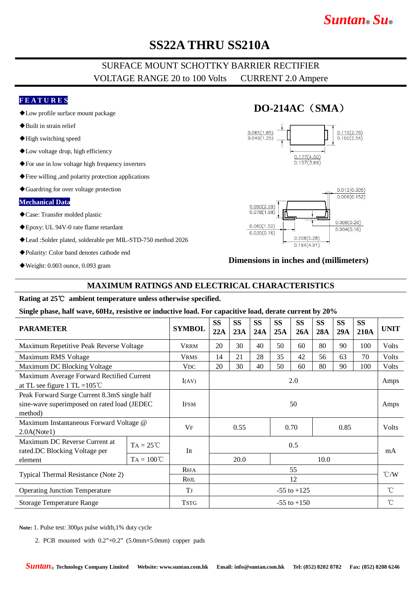# *Suntan***®** *Su***®**

# **SS22A THRU SS210A**

## SURFACE MOUNT SCHOTTKY BARRIER RECTIFIER VOLTAGE RANGE 20 to 100 Volts CURRENT 2.0 Ampere

### **F E A T U R E S**

- ◆Low profile surface mount package
- ◆Built in strain relief
- ◆High switching speed
- ◆Low voltage drop, high efficiency
- ◆For use in low voltage high frequency inverters
- ◆Free willing ,and polarity protection applications
- ◆Guardring for over voltage protection

#### **Mechanical Data**

- ◆Case: Transfer molded plastic
- ◆Epoxy: UL 94V-0 rate flame retardant
- ◆Lead :Solder plated, solderable per MIL-STD-750 method 2026
- ◆Polarity: Color band denotes cathode end
- ◆Weight: 0.003 ounce, 0.093 gram

## **DO-214AC**(**SMA**)





### **Dimensions in inches and (millimeters)**

### **MAXIMUM RATINGS AND ELECTRICAL CHARACTERISTICS**

#### **Rating at 25**℃ **ambient temperature unless otherwise specified.**

#### **Single phase, half wave, 60Hz, resistive or inductive load. For capacitive load, derate current by 20%**

| <b>PARAMETER</b>                                                                                       |                     | <b>SYMBOL</b>         | <b>SS</b><br>22A | <b>SS</b><br>23A | <b>SS</b><br>24A | <b>SS</b><br>25A | <b>SS</b><br>26A | <b>SS</b><br>28A | <b>SS</b><br>29A | <b>SS</b><br><b>210A</b> | <b>UNIT</b>     |
|--------------------------------------------------------------------------------------------------------|---------------------|-----------------------|------------------|------------------|------------------|------------------|------------------|------------------|------------------|--------------------------|-----------------|
| Maximum Repetitive Peak Reverse Voltage                                                                |                     | <b>VRRM</b>           | 20               | 30               | 40               | 50               | 60               | 80               | 90               | 100                      | <b>Volts</b>    |
| Maximum RMS Voltage                                                                                    |                     | <b>VRMS</b>           | 14               | 21               | 28               | 35               | 42               | 56               | 63               | 70                       | <b>Volts</b>    |
| Maximum DC Blocking Voltage                                                                            |                     | <b>V<sub>DC</sub></b> | 20               | 30               | 40               | 50               | 60               | 80               | 90               | 100                      | Volts           |
| Maximum Average Forward Rectified Current<br>at TL see figure 1 TL = $105^{\circ}$ C                   |                     | I(AV)                 | 2.0              |                  |                  |                  |                  |                  |                  |                          | Amps            |
| Peak Forward Surge Current 8.3mS single half<br>sine-wave superimposed on rated load (JEDEC<br>method) |                     | <b>IFSM</b>           | 50               |                  |                  |                  |                  |                  |                  |                          | Amps            |
| Maximum Instantaneous Forward Voltage @<br>2.0A(Note1)                                                 |                     | VF                    | 0.55             |                  |                  |                  | 0.70             |                  | 0.85             |                          | <b>Volts</b>    |
| Maximum DC Reverse Current at<br>rated.DC Blocking Voltage per<br>element                              | $TA = 25^{\circ}C$  | <b>IR</b>             | 0.5              |                  |                  |                  |                  |                  |                  |                          | mA              |
|                                                                                                        | $TA = 100^{\circ}C$ |                       |                  | 20.0             |                  |                  | 10.0             |                  |                  |                          |                 |
| Typical Thermal Resistance (Note 2)                                                                    |                     | $R\theta JA$          | 55               |                  |                  |                  |                  |                  |                  |                          | $\mathcal{C}/W$ |
|                                                                                                        |                     | $R$ $0$ JL            | 12               |                  |                  |                  |                  |                  |                  |                          |                 |
| <b>Operating Junction Temperature</b>                                                                  |                     | T                     | $-55$ to $+125$  |                  |                  |                  |                  |                  |                  |                          | $^{\circ}$ C    |
| <b>Storage Temperature Range</b>                                                                       |                     | <b>TSTG</b>           | $-55$ to $+150$  |                  |                  |                  |                  |                  |                  |                          | $^{\circ}$ C    |

**Note:** 1. Pulse test: 300μs pulse width,1% duty cycle

2. PCB mounted with 0.2"×0.2" (5.0mm×5.0mm) copper pads